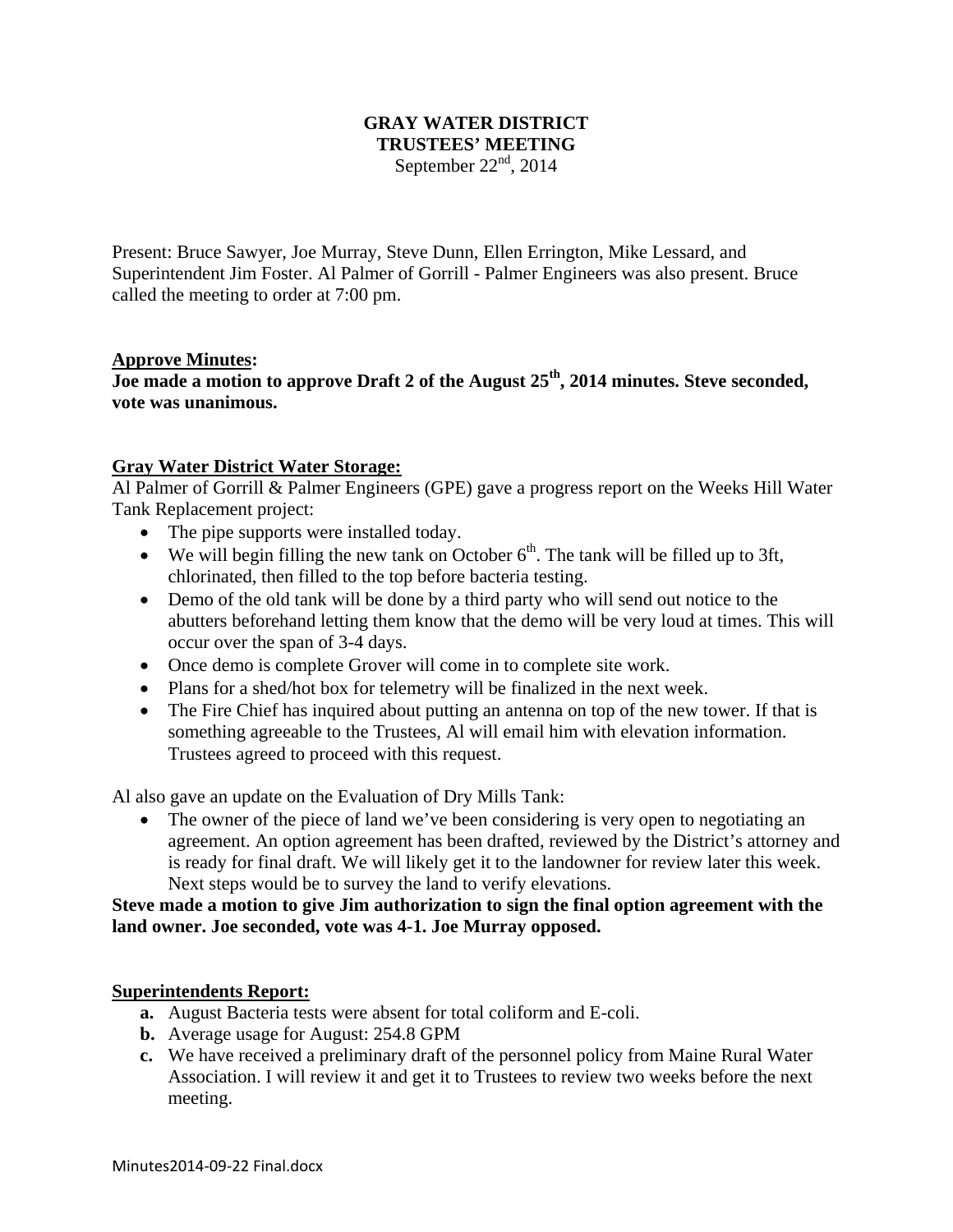# **GRAY WATER DISTRICT TRUSTEES' MEETING**

September  $22<sup>nd</sup>$ , 2014

Present: Bruce Sawyer, Joe Murray, Steve Dunn, Ellen Errington, Mike Lessard, and Superintendent Jim Foster. Al Palmer of Gorrill - Palmer Engineers was also present. Bruce called the meeting to order at 7:00 pm.

#### **Approve Minutes:**

**Joe made a motion to approve Draft 2 of the August 25th, 2014 minutes. Steve seconded, vote was unanimous.** 

#### **Gray Water District Water Storage:**

Al Palmer of Gorrill & Palmer Engineers (GPE) gave a progress report on the Weeks Hill Water Tank Replacement project:

- The pipe supports were installed today.
- We will begin filling the new tank on October  $6<sup>th</sup>$ . The tank will be filled up to 3ft, chlorinated, then filled to the top before bacteria testing.
- Demo of the old tank will be done by a third party who will send out notice to the abutters beforehand letting them know that the demo will be very loud at times. This will occur over the span of 3-4 days.
- Once demo is complete Grover will come in to complete site work.
- Plans for a shed/hot box for telemetry will be finalized in the next week.
- The Fire Chief has inquired about putting an antenna on top of the new tower. If that is something agreeable to the Trustees, Al will email him with elevation information. Trustees agreed to proceed with this request.

Al also gave an update on the Evaluation of Dry Mills Tank:

• The owner of the piece of land we've been considering is very open to negotiating an agreement. An option agreement has been drafted, reviewed by the District's attorney and is ready for final draft. We will likely get it to the landowner for review later this week. Next steps would be to survey the land to verify elevations.

**Steve made a motion to give Jim authorization to sign the final option agreement with the land owner. Joe seconded, vote was 4-1. Joe Murray opposed.** 

### **Superintendents Report:**

- **a.** August Bacteria tests were absent for total coliform and E-coli.
- **b.** Average usage for August: 254.8 GPM
- **c.** We have received a preliminary draft of the personnel policy from Maine Rural Water Association. I will review it and get it to Trustees to review two weeks before the next meeting.